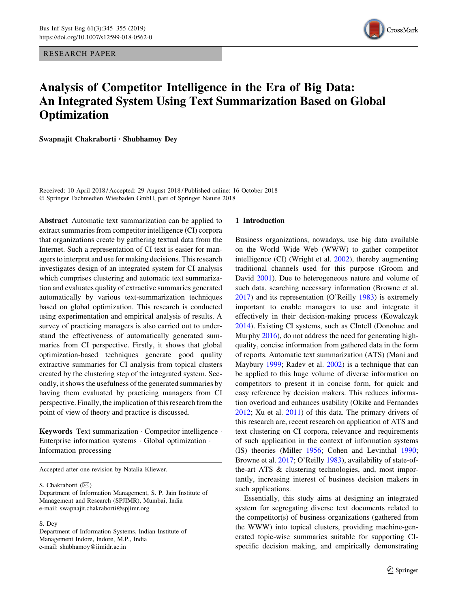RESEARCH PAPER



# Analysis of Competitor Intelligence in the Era of Big Data: An Integrated System Using Text Summarization Based on Global **Optimization**

Swapnajit Chakraborti • Shubhamoy Dey

Received: 10 April 2018 / Accepted: 29 August 2018 / Published online: 16 October 2018 - Springer Fachmedien Wiesbaden GmbH, part of Springer Nature 2018

Abstract Automatic text summarization can be applied to extract summaries from competitor intelligence (CI) corpora that organizations create by gathering textual data from the Internet. Such a representation of CI text is easier for managers to interpret and use for making decisions. This research investigates design of an integrated system for CI analysis which comprises clustering and automatic text summarization and evaluates quality of extractive summaries generated automatically by various text-summarization techniques based on global optimization. This research is conducted using experimentation and empirical analysis of results. A survey of practicing managers is also carried out to understand the effectiveness of automatically generated summaries from CI perspective. Firstly, it shows that global optimization-based techniques generate good quality extractive summaries for CI analysis from topical clusters created by the clustering step of the integrated system. Secondly, it shows the usefulness of the generated summaries by having them evaluated by practicing managers from CI perspective. Finally, the implication of this research from the point of view of theory and practice is discussed.

Keywords Text summarization - Competitor intelligence - Enterprise information systems - Global optimization - Information processing

Accepted after one revision by Natalia Kliewer.

S. Chakraborti (⊠)

#### S. Dey

Department of Information Systems, Indian Institute of Management Indore, Indore, M.P., India e-mail: shubhamoy@iimidr.ac.in

#### 1 Introduction

Business organizations, nowadays, use big data available on the World Wide Web (WWW) to gather competitor intelligence (CI) (Wright et al. [2002\)](#page-10-0), thereby augmenting traditional channels used for this purpose (Groom and David [2001\)](#page-9-0). Due to heterogeneous nature and volume of such data, searching necessary information (Browne et al. [2017](#page-8-0)) and its representation (O'Reilly [1983\)](#page-9-0) is extremely important to enable managers to use and integrate it effectively in their decision-making process (Kowalczyk [2014](#page-9-0)). Existing CI systems, such as CIntell (Donohue and Murphy [2016\)](#page-9-0), do not address the need for generating highquality, concise information from gathered data in the form of reports. Automatic text summarization (ATS) (Mani and Maybury [1999](#page-9-0); Radev et al. [2002\)](#page-9-0) is a technique that can be applied to this huge volume of diverse information on competitors to present it in concise form, for quick and easy reference by decision makers. This reduces information overload and enhances usability (Okike and Fernandes [2012](#page-9-0); Xu et al. [2011\)](#page-10-0) of this data. The primary drivers of this research are, recent research on application of ATS and text clustering on CI corpora, relevance and requirements of such application in the context of information systems (IS) theories (Miller [1956;](#page-9-0) Cohen and Levinthal [1990](#page-9-0); Browne et al. [2017;](#page-8-0) O'Reilly [1983](#page-9-0)), availability of state-ofthe-art ATS & clustering technologies, and, most importantly, increasing interest of business decision makers in such applications.

Essentially, this study aims at designing an integrated system for segregating diverse text documents related to the competitor(s) of business organizations (gathered from the WWW) into topical clusters, providing machine-generated topic-wise summaries suitable for supporting CIspecific decision making, and empirically demonstrating

Department of Information Management, S. P. Jain Institute of Management and Research (SPJIMR), Mumbai, India e-mail: swapnajit.chakraborti@spjimr.org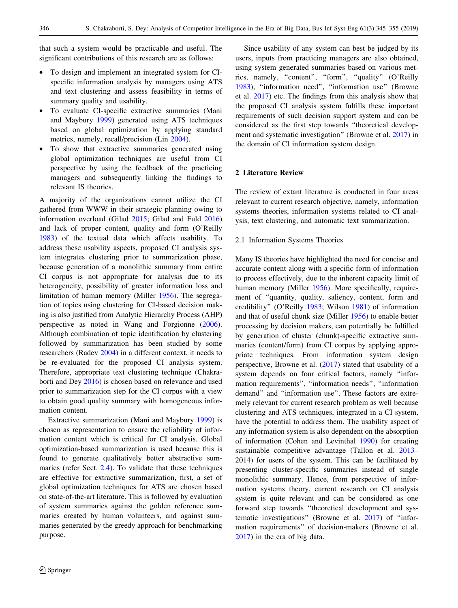that such a system would be practicable and useful. The significant contributions of this research are as follows:

- To design and implement an integrated system for CIspecific information analysis by managers using ATS and text clustering and assess feasibility in terms of summary quality and usability.
- To evaluate CI-specific extractive summaries (Mani and Maybury [1999\)](#page-9-0) generated using ATS techniques based on global optimization by applying standard metrics, namely, recall/precision (Lin [2004](#page-9-0)).
- To show that extractive summaries generated using global optimization techniques are useful from CI perspective by using the feedback of the practicing managers and subsequently linking the findings to relevant IS theories.

A majority of the organizations cannot utilize the CI gathered from WWW in their strategic planning owing to information overload (Gilad [2015](#page-9-0); Gilad and Fuld [2016\)](#page-9-0) and lack of proper content, quality and form (O'Reilly [1983\)](#page-9-0) of the textual data which affects usability. To address these usability aspects, proposed CI analysis system integrates clustering prior to summarization phase, because generation of a monolithic summary from entire CI corpus is not appropriate for analysis due to its heterogeneity, possibility of greater information loss and limitation of human memory (Miller [1956](#page-9-0)). The segregation of topics using clustering for CI-based decision making is also justified from Analytic Hierarchy Process (AHP) perspective as noted in Wang and Forgionne [\(2006](#page-10-0)). Although combination of topic identification by clustering followed by summarization has been studied by some researchers (Radev [2004\)](#page-9-0) in a different context, it needs to be re-evaluated for the proposed CI analysis system. Therefore, appropriate text clustering technique (Chakraborti and Dey [2016\)](#page-9-0) is chosen based on relevance and used prior to summarization step for the CI corpus with a view to obtain good quality summary with homogeneous information content.

Extractive summarization (Mani and Maybury [1999\)](#page-9-0) is chosen as representation to ensure the reliability of information content which is critical for CI analysis. Global optimization-based summarization is used because this is found to generate qualitatively better abstractive summaries (refer Sect. [2.4](#page-2-0)). To validate that these techniques are effective for extractive summarization, first, a set of global optimization techniques for ATS are chosen based on state-of-the-art literature. This is followed by evaluation of system summaries against the golden reference summaries created by human volunteers, and against summaries generated by the greedy approach for benchmarking purpose.

Since usability of any system can best be judged by its users, inputs from practicing managers are also obtained, using system generated summaries based on various metrics, namely, "content", "form", "quality" (O'Reilly [1983](#page-9-0)), ''information need'', ''information use'' (Browne et al. [2017\)](#page-8-0) etc. The findings from this analysis show that the proposed CI analysis system fulfills these important requirements of such decision support system and can be considered as the first step towards ''theoretical development and systematic investigation'' (Browne et al. [2017\)](#page-8-0) in the domain of CI information system design.

#### 2 Literature Review

The review of extant literature is conducted in four areas relevant to current research objective, namely, information systems theories, information systems related to CI analysis, text clustering, and automatic text summarization.

#### 2.1 Information Systems Theories

Many IS theories have highlighted the need for concise and accurate content along with a specific form of information to process effectively, due to the inherent capacity limit of human memory (Miller [1956](#page-9-0)). More specifically, requirement of ''quantity, quality, saliency, content, form and credibility'' (O'Reilly [1983;](#page-9-0) Wilson [1981\)](#page-10-0) of information and that of useful chunk size (Miller [1956\)](#page-9-0) to enable better processing by decision makers, can potentially be fulfilled by generation of cluster (chunk)-specific extractive summaries (content/form) from CI corpus by applying appropriate techniques. From information system design perspective, Browne et al. [\(2017](#page-8-0)) stated that usability of a system depends on four critical factors, namely ''information requirements'', ''information needs'', ''information demand'' and ''information use''. These factors are extremely relevant for current research problem as well because clustering and ATS techniques, integrated in a CI system, have the potential to address them. The usability aspect of any information system is also dependent on the absorption of information (Cohen and Levinthal [1990\)](#page-9-0) for creating sustainable competitive advantage (Tallon et al. [2013](#page-10-0)– 2014) for users of the system. This can be facilitated by presenting cluster-specific summaries instead of single monolithic summary. Hence, from perspective of information systems theory, current research on CI analysis system is quite relevant and can be considered as one forward step towards ''theoretical development and systematic investigations'' (Browne et al. [2017](#page-8-0)) of ''information requirements'' of decision-makers (Browne et al. [2017](#page-8-0)) in the era of big data.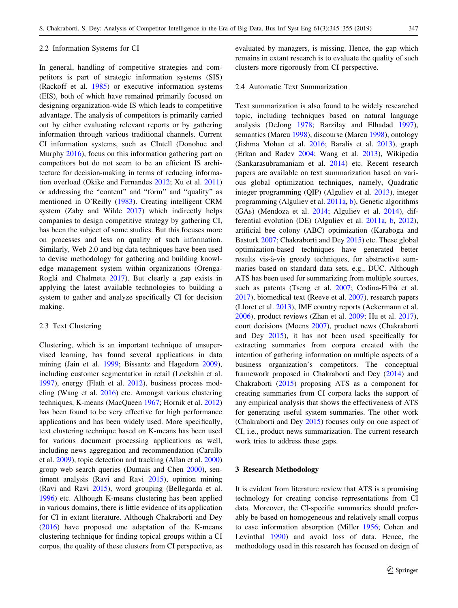#### <span id="page-2-0"></span>2.2 Information Systems for CI

In general, handling of competitive strategies and competitors is part of strategic information systems (SIS) (Rackoff et al. [1985](#page-9-0)) or executive information systems (EIS), both of which have remained primarily focused on designing organization-wide IS which leads to competitive advantage. The analysis of competitors is primarily carried out by either evaluating relevant reports or by gathering information through various traditional channels. Current CI information systems, such as CIntell (Donohue and Murphy [2016](#page-9-0)), focus on this information gathering part on competitors but do not seem to be an efficient IS architecture for decision-making in terms of reducing information overload (Okike and Fernandes [2012;](#page-9-0) Xu et al. [2011\)](#page-10-0) or addressing the ''content'' and ''form'' and ''quality'' as mentioned in O'Reilly ([1983\)](#page-9-0). Creating intelligent CRM system (Zaby and Wilde [2017\)](#page-10-0) which indirectly helps companies to design competitive strategy by gathering CI, has been the subject of some studies. But this focuses more on processes and less on quality of such information. Similarly, Web 2.0 and big data techniques have been used to devise methodology for gathering and building knowledge management system within organizations (Orenga-Roglá and Chalmeta [2017\)](#page-9-0). But clearly a gap exists in applying the latest available technologies to building a system to gather and analyze specifically CI for decision making.

## 2.3 Text Clustering

Clustering, which is an important technique of unsupervised learning, has found several applications in data mining (Jain et al. [1999](#page-9-0); Bissantz and Hagedorn [2009](#page-8-0)), including customer segmentation in retail (Lockshin et al. [1997\)](#page-9-0), energy (Flath et al. [2012\)](#page-9-0), business process modeling (Wang et al. [2016\)](#page-10-0) etc. Amongst various clustering techniques, K-means (MacQueen [1967](#page-9-0); Hornik et al. [2012\)](#page-9-0) has been found to be very effective for high performance applications and has been widely used. More specifically, text clustering technique based on K-means has been used for various document processing applications as well, including news aggregation and recommendation (Carullo et al. [2009](#page-8-0)), topic detection and tracking (Allan et al. [2000\)](#page-8-0) group web search queries (Dumais and Chen [2000\)](#page-9-0), sentiment analysis (Ravi and Ravi [2015\)](#page-9-0), opinion mining (Ravi and Ravi [2015](#page-9-0)), word grouping (Bellegarda et al. [1996\)](#page-8-0) etc. Although K-means clustering has been applied in various domains, there is little evidence of its application for CI in extant literature. Although Chakraborti and Dey [\(2016](#page-9-0)) have proposed one adaptation of the K-means clustering technique for finding topical groups within a CI corpus, the quality of these clusters from CI perspective, as evaluated by managers, is missing. Hence, the gap which remains in extant research is to evaluate the quality of such clusters more rigorously from CI perspective.

## 2.4 Automatic Text Summarization

Text summarization is also found to be widely researched topic, including techniques based on natural language analysis (DeJong [1978](#page-9-0); Barzilay and Elhadad [1997](#page-8-0)), semantics (Marcu [1998](#page-9-0)), discourse (Marcu [1998](#page-9-0)), ontology (Jishma Mohan et al. [2016](#page-9-0); Baralis et al. [2013\)](#page-8-0), graph (Erkan and Radev [2004](#page-9-0); Wang et al. [2013\)](#page-10-0), Wikipedia (Sankarasubramaniam et al. [2014](#page-10-0)) etc. Recent research papers are available on text summarization based on various global optimization techniques, namely, Quadratic integer programming (QIP) (Alguliev et al. [2013](#page-8-0)), integer programming (Alguliev et al. [2011a,](#page-8-0) [b\)](#page-8-0), Genetic algorithms (GAs) (Mendoza et al. [2014;](#page-9-0) Alguliev et al. [2014](#page-8-0)), differential evolution (DE) (Alguliev et al. [2011a,](#page-8-0) [b](#page-8-0), [2012](#page-8-0)), artificial bee colony (ABC) optimization (Karaboga and Basturk [2007;](#page-9-0) Chakraborti and Dey [2015\)](#page-9-0) etc. These global optimization-based techniques have generated better results vis-à-vis greedy techniques, for abstractive summaries based on standard data sets, e.g., DUC. Although ATS has been used for summarizing from multiple sources, such as patents (Tseng et al. [2007](#page-10-0); Codina-Filbà et al. [2017](#page-9-0)), biomedical text (Reeve et al. [2007](#page-10-0)), research papers (Lloret et al. [2013](#page-9-0)), IMF country reports (Ackermann et al. [2006](#page-8-0)), product reviews (Zhan et al. [2009;](#page-10-0) Hu et al. [2017](#page-9-0)), court decisions (Moens [2007](#page-9-0)), product news (Chakraborti and Dey [2015](#page-9-0)), it has not been used specifically for extracting summaries from corpora created with the intention of gathering information on multiple aspects of a business organization's competitors. The conceptual framework proposed in Chakraborti and Dey [\(2014](#page-9-0)) and Chakraborti [\(2015](#page-9-0)) proposing ATS as a component for creating summaries from CI corpora lacks the support of any empirical analysis that shows the effectiveness of ATS for generating useful system summaries. The other work (Chakraborti and Dey [2015](#page-9-0)) focuses only on one aspect of CI, i.e., product news summarization. The current research work tries to address these gaps.

#### 3 Research Methodology

It is evident from literature review that ATS is a promising technology for creating concise representations from CI data. Moreover, the CI-specific summaries should preferably be based on homogeneous and relatively small corpus to ease information absorption (Miller [1956;](#page-9-0) Cohen and Levinthal [1990\)](#page-9-0) and avoid loss of data. Hence, the methodology used in this research has focused on design of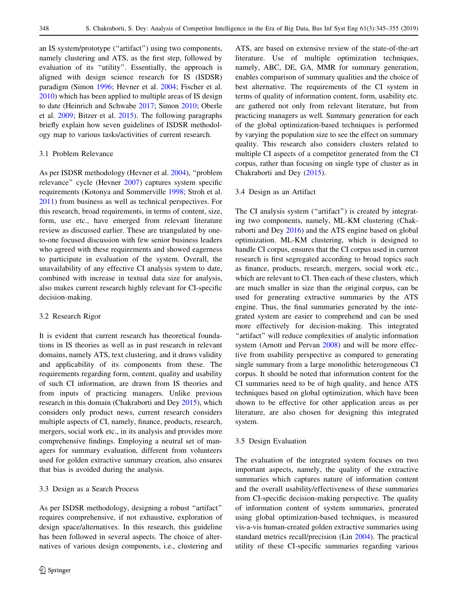an IS system/prototype (''artifact'') using two components, namely clustering and ATS, as the first step, followed by evaluation of its ''utility''. Essentially, the approach is aligned with design science research for IS (ISDSR) paradigm (Simon [1996](#page-10-0); Hevner et al. [2004](#page-9-0); Fischer et al. [2010\)](#page-9-0) which has been applied to multiple areas of IS design to date (Heinrich and Schwabe [2017;](#page-9-0) Simon [2010;](#page-10-0) Oberle et al. [2009](#page-9-0); Bitzer et al. [2015](#page-8-0)). The following paragraphs briefly explain how seven guidelines of ISDSR methodology map to various tasks/activities of current research.

#### 3.1 Problem Relevance

As per ISDSR methodology (Hevner et al. [2004](#page-9-0)), ''problem relevance'' cycle (Hevner [2007\)](#page-9-0) captures system specific requirements (Kotonya and Sommerville [1998;](#page-9-0) Stroh et al. [2011\)](#page-10-0) from business as well as technical perspectives. For this research, broad requirements, in terms of content, size, form, use etc., have emerged from relevant literature review as discussed earlier. These are triangulated by oneto-one focused discussion with few senior business leaders who agreed with these requirements and showed eagerness to participate in evaluation of the system. Overall, the unavailability of any effective CI analysis system to date, combined with increase in textual data size for analysis, also makes current research highly relevant for CI-specific decision-making.

#### 3.2 Research Rigor

It is evident that current research has theoretical foundations in IS theories as well as in past research in relevant domains, namely ATS, text clustering, and it draws validity and applicability of its components from these. The requirements regarding form, content, quality and usability of such CI information, are drawn from IS theories and from inputs of practicing managers. Unlike previous research in this domain (Chakraborti and Dey [2015](#page-9-0)), which considers only product news, current research considers multiple aspects of CI, namely, finance, products, research, mergers, social work etc., in its analysis and provides more comprehensive findings. Employing a neutral set of managers for summary evaluation, different from volunteers used for golden extractive summary creation, also ensures that bias is avoided during the analysis.

## 3.3 Design as a Search Process

As per ISDSR methodology, designing a robust ''artifact'' requires comprehensive, if not exhaustive, exploration of design space/alternatives. In this research, this guideline has been followed in several aspects. The choice of alternatives of various design components, i.e., clustering and ATS, are based on extensive review of the state-of-the-art literature. Use of multiple optimization techniques, namely, ABC, DE, GA, MMR for summary generation, enables comparison of summary qualities and the choice of best alternative. The requirements of the CI system in terms of quality of information content, form, usability etc. are gathered not only from relevant literature, but from practicing managers as well. Summary generation for each of the global optimization-based techniques is performed by varying the population size to see the effect on summary quality. This research also considers clusters related to multiple CI aspects of a competitor generated from the CI corpus, rather than focusing on single type of cluster as in Chakraborti and Dey [\(2015](#page-9-0)).

## 3.4 Design as an Artifact

The CI analysis system ("artifact") is created by integrating two components, namely, ML-KM clustering (Chakraborti and Dey [2016\)](#page-9-0) and the ATS engine based on global optimization. ML-KM clustering, which is designed to handle CI corpus, ensures that the CI corpus used in current research is first segregated according to broad topics such as finance, products, research, mergers, social work etc., which are relevant to CI. Then each of these clusters, which are much smaller in size than the original corpus, can be used for generating extractive summaries by the ATS engine. Thus, the final summaries generated by the integrated system are easier to comprehend and can be used more effectively for decision-making. This integrated "artifact" will reduce complexities of analytic information system (Arnott and Pervan [2008\)](#page-8-0) and will be more effective from usability perspective as compared to generating single summary from a large monolithic heterogeneous CI corpus. It should be noted that information content for the CI summaries need to be of high quality, and hence ATS techniques based on global optimization, which have been shown to be effective for other application areas as per literature, are also chosen for designing this integrated system.

## 3.5 Design Evaluation

The evaluation of the integrated system focuses on two important aspects, namely, the quality of the extractive summaries which captures nature of information content and the overall usability/effectiveness of these summaries from CI-specific decision-making perspective. The quality of information content of system summaries, generated using global optimization-based techniques, is measured vis-a-vis human-created golden extractive summaries using standard metrics recall/precision (Lin [2004\)](#page-9-0). The practical utility of these CI-specific summaries regarding various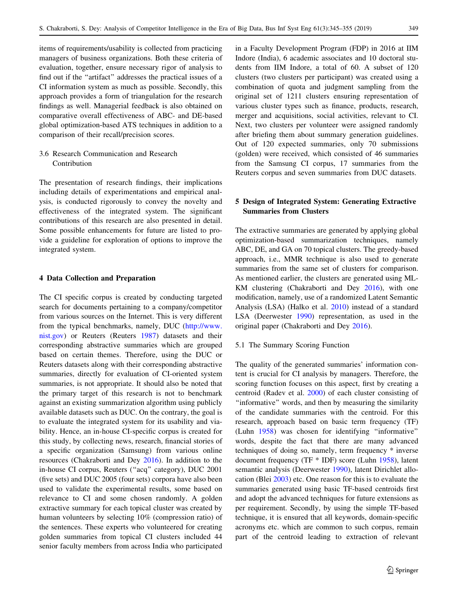items of requirements/usability is collected from practicing managers of business organizations. Both these criteria of evaluation, together, ensure necessary rigor of analysis to find out if the ''artifact'' addresses the practical issues of a CI information system as much as possible. Secondly, this approach provides a form of triangulation for the research findings as well. Managerial feedback is also obtained on comparative overall effectiveness of ABC- and DE-based global optimization-based ATS techniques in addition to a comparison of their recall/precision scores.

3.6 Research Communication and Research Contribution

The presentation of research findings, their implications including details of experimentations and empirical analysis, is conducted rigorously to convey the novelty and effectiveness of the integrated system. The significant contributions of this research are also presented in detail. Some possible enhancements for future are listed to provide a guideline for exploration of options to improve the integrated system.

## 4 Data Collection and Preparation

The CI specific corpus is created by conducting targeted search for documents pertaining to a company/competitor from various sources on the Internet. This is very different from the typical benchmarks, namely, DUC [\(http://www.](http://www.nist.gov) [nist.gov\)](http://www.nist.gov) or Reuters (Reuters [1987](#page-10-0)) datasets and their corresponding abstractive summaries which are grouped based on certain themes. Therefore, using the DUC or Reuters datasets along with their corresponding abstractive summaries, directly for evaluation of CI-oriented system summaries, is not appropriate. It should also be noted that the primary target of this research is not to benchmark against an existing summarization algorithm using publicly available datasets such as DUC. On the contrary, the goal is to evaluate the integrated system for its usability and viability. Hence, an in-house CI-specific corpus is created for this study, by collecting news, research, financial stories of a specific organization (Samsung) from various online resources (Chakraborti and Dey [2016\)](#page-9-0). In addition to the in-house CI corpus, Reuters (''acq'' category), DUC 2001 (five sets) and DUC 2005 (four sets) corpora have also been used to validate the experimental results, some based on relevance to CI and some chosen randomly. A golden extractive summary for each topical cluster was created by human volunteers by selecting 10% (compression ratio) of the sentences. These experts who volunteered for creating golden summaries from topical CI clusters included 44 senior faculty members from across India who participated in a Faculty Development Program (FDP) in 2016 at IIM Indore (India), 6 academic associates and 10 doctoral students from IIM Indore, a total of 60. A subset of 120 clusters (two clusters per participant) was created using a combination of quota and judgment sampling from the original set of 1211 clusters ensuring representation of various cluster types such as finance, products, research, merger and acquisitions, social activities, relevant to CI. Next, two clusters per volunteer were assigned randomly after briefing them about summary generation guidelines. Out of 120 expected summaries, only 70 submissions (golden) were received, which consisted of 46 summaries from the Samsung CI corpus, 17 summaries from the Reuters corpus and seven summaries from DUC datasets.

# 5 Design of Integrated System: Generating Extractive Summaries from Clusters

The extractive summaries are generated by applying global optimization-based summarization techniques, namely ABC, DE, and GA on 70 topical clusters. The greedy-based approach, i.e., MMR technique is also used to generate summaries from the same set of clusters for comparison. As mentioned earlier, the clusters are generated using ML-KM clustering (Chakraborti and Dey [2016](#page-9-0)), with one modification, namely, use of a randomized Latent Semantic Analysis (LSA) (Halko et al. [2010](#page-9-0)) instead of a standard LSA (Deerwester [1990\)](#page-9-0) representation, as used in the original paper (Chakraborti and Dey [2016](#page-9-0)).

## 5.1 The Summary Scoring Function

The quality of the generated summaries' information content is crucial for CI analysis by managers. Therefore, the scoring function focuses on this aspect, first by creating a centroid (Radev et al. [2000\)](#page-9-0) of each cluster consisting of ''informative'' words, and then by measuring the similarity of the candidate summaries with the centroid. For this research, approach based on basic term frequency (TF) (Luhn [1958](#page-9-0)) was chosen for identifying ''informative'' words, despite the fact that there are many advanced techniques of doing so, namely, term frequency \* inverse document frequency (TF \* IDF) score (Luhn [1958\)](#page-9-0), latent semantic analysis (Deerwester [1990](#page-9-0)), latent Dirichlet allocation (Blei [2003\)](#page-8-0) etc. One reason for this is to evaluate the summaries generated using basic TF-based centroids first and adopt the advanced techniques for future extensions as per requirement. Secondly, by using the simple TF-based technique, it is ensured that all keywords, domain-specific acronyms etc. which are common to such corpus, remain part of the centroid leading to extraction of relevant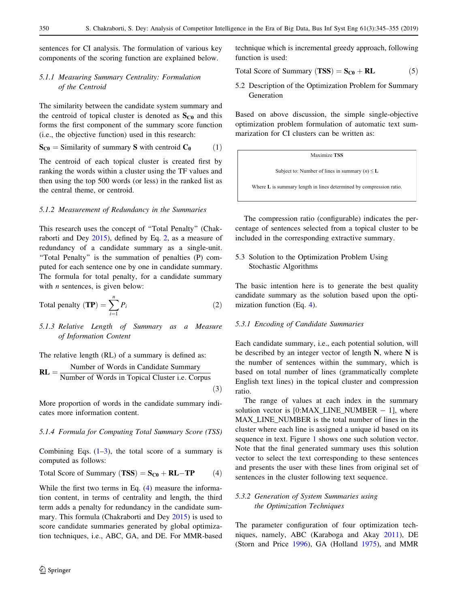<span id="page-5-0"></span>sentences for CI analysis. The formulation of various key components of the scoring function are explained below.

# *5.1.1 Measuring Summary Centrality: Formulation of the Centroid*

The similarity between the candidate system summary and the centroid of topical cluster is denoted as  $S_{C0}$  and this forms the first component of the summary score function (i.e., the objective function) used in this research:

$$
\mathbf{S}_{\mathbf{C0}} = \text{Similarity of summary } \mathbf{S} \text{ with centroid } \mathbf{C}_0 \tag{1}
$$

The centroid of each topical cluster is created first by ranking the words within a cluster using the TF values and then using the top 500 words (or less) in the ranked list as the central theme, or centroid.

#### *5.1.2 Measurement of Redundancy in the Summaries*

This research uses the concept of ''Total Penalty'' (Chakraborti and Dey [2015\)](#page-9-0), defined by Eq. 2, as a measure of redundancy of a candidate summary as a single-unit. "Total Penalty" is the summation of penalties (P) computed for each sentence one by one in candidate summary. The formula for total penalty, for a candidate summary with *n* sentences, is given below:

$$
Total penalty (TP) = \sum_{i=1}^{n} P_i
$$
 (2)

*5.1.3 Relative Length of Summary as a Measure of Information Content*

The relative length (RL) of a summary is defined as:  $RL =$ Number of Words in Candidate Summary Number of Words in Topical Cluster i.e: Corpus  $(3)$ 

More proportion of words in the candidate summary indicates more information content.

## *5.1.4 Formula for Computing Total Summary Score (TSS)*

Combining Eqs.  $(1-3)$ , the total score of a summary is computed as follows:

Total Score of Summary 
$$
(TSS) = S_{C0} + RL - TP
$$
 (4)

While the first two terms in Eq. (4) measure the information content, in terms of centrality and length, the third term adds a penalty for redundancy in the candidate summary. This formula (Chakraborti and Dey [2015\)](#page-9-0) is used to score candidate summaries generated by global optimization techniques, i.e., ABC, GA, and DE. For MMR-based technique which is incremental greedy approach, following function is used:

$$
Total Score of Summary (TSS) = S_{C0} + RL
$$
 (5)

5.2 Description of the Optimization Problem for Summary Generation

Based on above discussion, the simple single-objective optimization problem formulation of automatic text summarization for CI clusters can be written as:

Maximize **TSS**

\nSubject to: Number of lines in summary (
$$
n
$$
)  $\leq$  **L**

\nWhere **L** is summary length in lines determined by compression ratio.

The compression ratio (configurable) indicates the percentage of sentences selected from a topical cluster to be included in the corresponding extractive summary.

5.3 Solution to the Optimization Problem Using Stochastic Algorithms

The basic intention here is to generate the best quality candidate summary as the solution based upon the optimization function (Eq. 4).

#### *5.3.1 Encoding of Candidate Summaries*

Each candidate summary, i.e., each potential solution, will be described by an integer vector of length  $N$ , where  $N$  is the number of sentences within the summary, which is based on total number of lines (grammatically complete English text lines) in the topical cluster and compression ratio.

The range of values at each index in the summary solution vector is  $[0:MAX\_LINE\_NUMBER - 1]$ , where MAX\_LINE\_NUMBER is the total number of lines in the cluster where each line is assigned a unique id based on its sequence in text. Figure [1](#page-6-0) shows one such solution vector. Note that the final generated summary uses this solution vector to select the text corresponding to these sentences and presents the user with these lines from original set of sentences in the cluster following text sequence.

## *5.3.2 Generation of System Summaries using the Optimization Techniques*

The parameter configuration of four optimization techniques, namely, ABC (Karaboga and Akay [2011](#page-9-0)), DE (Storn and Price [1996](#page-10-0)), GA (Holland [1975](#page-9-0)), and MMR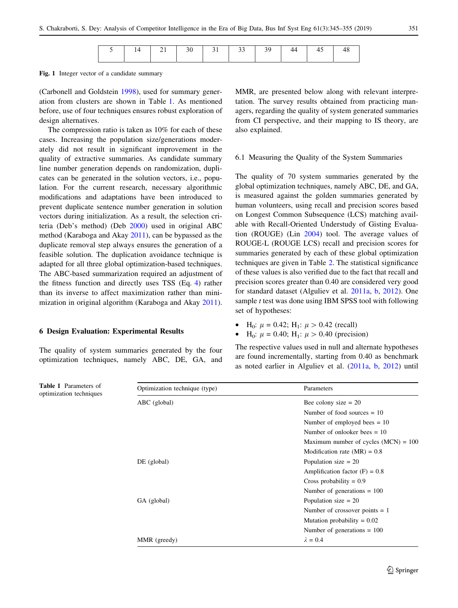|  |  |  |  |  |  | $14$   21   30   31   33   39 |  |  |  |  |
|--|--|--|--|--|--|-------------------------------|--|--|--|--|
|--|--|--|--|--|--|-------------------------------|--|--|--|--|

<span id="page-6-0"></span>Fig. 1 Integer vector of a candidate summary

(Carbonell and Goldstein [1998](#page-8-0)), used for summary generation from clusters are shown in Table 1. As mentioned before, use of four techniques ensures robust exploration of design alternatives.

The compression ratio is taken as 10% for each of these cases. Increasing the population size/generations moderately did not result in significant improvement in the quality of extractive summaries. As candidate summary line number generation depends on randomization, duplicates can be generated in the solution vectors, i.e., population. For the current research, necessary algorithmic modifications and adaptations have been introduced to prevent duplicate sentence number generation in solution vectors during initialization. As a result, the selection criteria (Deb's method) (Deb [2000\)](#page-9-0) used in original ABC method (Karaboga and Akay [2011\)](#page-9-0), can be bypassed as the duplicate removal step always ensures the generation of a feasible solution. The duplication avoidance technique is adapted for all three global optimization-based techniques. The ABC-based summarization required an adjustment of the fitness function and directly uses TSS (Eq. [4\)](#page-5-0) rather than its inverse to affect maximization rather than minimization in original algorithm (Karaboga and Akay [2011](#page-9-0)).

#### 6 Design Evaluation: Experimental Results

Table 1 Parameters of optimization techniques

The quality of system summaries generated by the four optimization techniques, namely ABC, DE, GA, and MMR, are presented below along with relevant interpretation. The survey results obtained from practicing managers, regarding the quality of system generated summaries from CI perspective, and their mapping to IS theory, are also explained.

#### 6.1 Measuring the Quality of the System Summaries

The quality of 70 system summaries generated by the global optimization techniques, namely ABC, DE, and GA, is measured against the golden summaries generated by human volunteers, using recall and precision scores based on Longest Common Subsequence (LCS) matching available with Recall-Oriented Understudy of Gisting Evaluation (ROUGE) (Lin [2004\)](#page-9-0) tool. The average values of ROUGE-L (ROUGE LCS) recall and precision scores for summaries generated by each of these global optimization techniques are given in Table [2.](#page-7-0) The statistical significance of these values is also verified due to the fact that recall and precision scores greater than 0.40 are considered very good for standard dataset (Alguliev et al. [2011a](#page-8-0), [b](#page-8-0), [2012](#page-8-0)). One sample *t* test was done using IBM SPSS tool with following set of hypotheses:

- H<sub>0</sub>:  $\mu = 0.42$ ; H<sub>1</sub>:  $\mu > 0.42$  (recall)
- $H_0$ :  $\mu = 0.40$ ;  $H_1$ :  $\mu > 0.40$  (precision)

The respective values used in null and alternate hypotheses are found incrementally, starting from 0.40 as benchmark as noted earlier in Alguliev et al. [\(2011a,](#page-8-0) [b,](#page-8-0) [2012](#page-8-0)) until

| Optimization technique (type) | Parameters                             |  |  |
|-------------------------------|----------------------------------------|--|--|
| ABC (global)                  | Bee colony size $= 20$                 |  |  |
|                               | Number of food sources $= 10$          |  |  |
|                               | Number of employed bees $= 10$         |  |  |
|                               | Number of onlooker bees $= 10$         |  |  |
|                               | Maximum number of cycles $(MCN) = 100$ |  |  |
|                               | Modification rate $(MR) = 0.8$         |  |  |
| $DE$ (global)                 | Population size $= 20$                 |  |  |
|                               | Amplification factor $(F) = 0.8$       |  |  |
|                               | Cross probability $= 0.9$              |  |  |
|                               | Number of generations $= 100$          |  |  |
| GA (global)                   | Population size $= 20$                 |  |  |
|                               | Number of crossover points $= 1$       |  |  |
|                               | Mutation probability $= 0.02$          |  |  |
|                               | Number of generations $= 100$          |  |  |
| MMR (greedy)                  | $\lambda = 0.4$                        |  |  |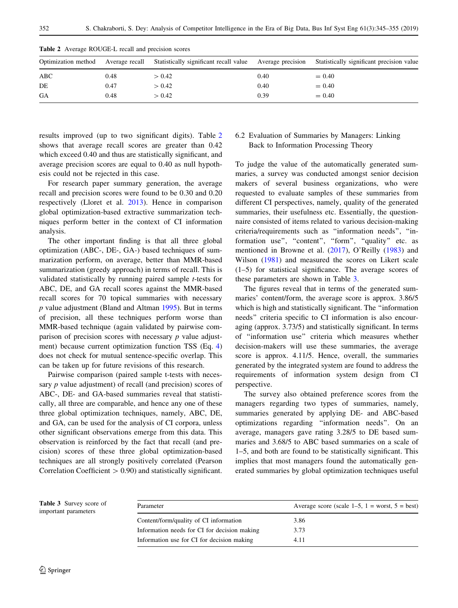|     |      | Optimization method Average recall Statistically significant recall value Average precision |      | Statistically significant precision value |
|-----|------|---------------------------------------------------------------------------------------------|------|-------------------------------------------|
| ABC | 0.48 | > 0.42                                                                                      | 0.40 | $= 0.40$                                  |
| DE  | 0.47 | > 0.42                                                                                      | 0.40 | $= 0.40$                                  |
| GA  | 0.48 | > 0.42                                                                                      | 0.39 | $= 0.40$                                  |

<span id="page-7-0"></span>Table 2 Average ROUGE-L recall and precision scores

results improved (up to two significant digits). Table 2 shows that average recall scores are greater than 0.42 which exceed 0.40 and thus are statistically significant, and average precision scores are equal to 0.40 as null hypothesis could not be rejected in this case.

For research paper summary generation, the average recall and precision scores were found to be 0.30 and 0.20 respectively (Lloret et al. [2013\)](#page-9-0). Hence in comparison global optimization-based extractive summarization techniques perform better in the context of CI information analysis.

The other important finding is that all three global optimization (ABC-, DE-, GA-) based techniques of summarization perform, on average, better than MMR-based summarization (greedy approach) in terms of recall. This is validated statistically by running paired sample *t*-tests for ABC, DE, and GA recall scores against the MMR-based recall scores for 70 topical summaries with necessary *p* value adjustment (Bland and Altman [1995](#page-8-0)). But in terms of precision, all these techniques perform worse than MMR-based technique (again validated by pairwise comparison of precision scores with necessary *p* value adjustment) because current optimization function TSS (Eq. [4\)](#page-5-0) does not check for mutual sentence-specific overlap. This can be taken up for future revisions of this research.

Pairwise comparison (paired sample t-tests with necessary *p* value adjustment) of recall (and precision) scores of ABC-, DE- and GA-based summaries reveal that statistically, all three are comparable, and hence any one of these three global optimization techniques, namely, ABC, DE, and GA, can be used for the analysis of CI corpora, unless other significant observations emerge from this data. This observation is reinforced by the fact that recall (and precision) scores of these three global optimization-based techniques are all strongly positively correlated (Pearson Correlation Coefficient  $> 0.90$ ) and statistically significant.

## 6.2 Evaluation of Summaries by Managers: Linking Back to Information Processing Theory

To judge the value of the automatically generated summaries, a survey was conducted amongst senior decision makers of several business organizations, who were requested to evaluate samples of these summaries from different CI perspectives, namely, quality of the generated summaries, their usefulness etc. Essentially, the questionnaire consisted of items related to various decision-making criteria/requirements such as ''information needs'', ''information use", "content", "form", "quality" etc. as mentioned in Browne et al. ([2017\)](#page-8-0), O'Reilly [\(1983](#page-9-0)) and Wilson [\(1981](#page-10-0)) and measured the scores on Likert scale (1–5) for statistical significance. The average scores of these parameters are shown in Table 3.

The figures reveal that in terms of the generated summaries' content/form, the average score is approx. 3.86/5 which is high and statistically significant. The "information" needs'' criteria specific to CI information is also encouraging (approx. 3.73/5) and statistically significant. In terms of ''information use'' criteria which measures whether decision-makers will use these summaries, the average score is approx. 4.11/5. Hence, overall, the summaries generated by the integrated system are found to address the requirements of information system design from CI perspective.

The survey also obtained preference scores from the managers regarding two types of summaries, namely, summaries generated by applying DE- and ABC-based optimizations regarding ''information needs''. On an average, managers gave rating 3.28/5 to DE based summaries and 3.68/5 to ABC based summaries on a scale of 1–5, and both are found to be statistically significant. This implies that most managers found the automatically generated summaries by global optimization techniques useful

Table 3 Survey score of important parameters

| Parameter                                    | Average score (scale $1-5$ , $1 =$ worst, $5 =$ best) |
|----------------------------------------------|-------------------------------------------------------|
| Content/form/quality of CI information       | 3.86                                                  |
| Information needs for CI for decision making | 3.73                                                  |
| Information use for CI for decision making   | 4.11                                                  |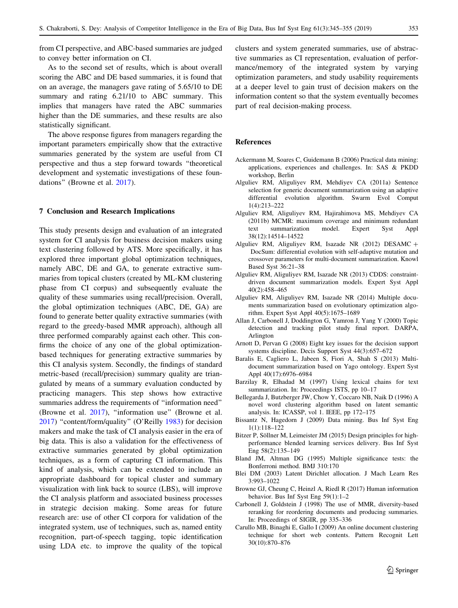<span id="page-8-0"></span>from CI perspective, and ABC-based summaries are judged to convey better information on CI.

As to the second set of results, which is about overall scoring the ABC and DE based summaries, it is found that on an average, the managers gave rating of 5.65/10 to DE summary and rating  $6.21/10$  to ABC summary. This implies that managers have rated the ABC summaries higher than the DE summaries, and these results are also statistically significant.

The above response figures from managers regarding the important parameters empirically show that the extractive summaries generated by the system are useful from CI perspective and thus a step forward towards ''theoretical development and systematic investigations of these foundations'' (Browne et al. 2017).

## 7 Conclusion and Research Implications

This study presents design and evaluation of an integrated system for CI analysis for business decision makers using text clustering followed by ATS. More specifically, it has explored three important global optimization techniques, namely ABC, DE and GA, to generate extractive summaries from topical clusters (created by ML-KM clustering phase from CI corpus) and subsequently evaluate the quality of these summaries using recall/precision. Overall, the global optimization techniques (ABC, DE, GA) are found to generate better quality extractive summaries (with regard to the greedy-based MMR approach), although all three performed comparably against each other. This confirms the choice of any one of the global optimizationbased techniques for generating extractive summaries by this CI analysis system. Secondly, the findings of standard metric-based (recall/precision) summary quality are triangulated by means of a summary evaluation conducted by practicing managers. This step shows how extractive summaries address the requirements of ''information need'' (Browne et al. 2017), ''information use'' (Browne et al. 2017) ''content/form/quality'' (O'Reilly [1983\)](#page-9-0) for decision makers and make the task of CI analysis easier in the era of big data. This is also a validation for the effectiveness of extractive summaries generated by global optimization techniques, as a form of capturing CI information. This kind of analysis, which can be extended to include an appropriate dashboard for topical cluster and summary visualization with link back to source (LBS), will improve the CI analysis platform and associated business processes in strategic decision making. Some areas for future research are: use of other CI corpora for validation of the integrated system, use of techniques, such as, named entity recognition, part-of-speech tagging, topic identification using LDA etc. to improve the quality of the topical

clusters and system generated summaries, use of abstractive summaries as CI representation, evaluation of performance/memory of the integrated system by varying optimization parameters, and study usability requirements at a deeper level to gain trust of decision makers on the information content so that the system eventually becomes part of real decision-making process.

## References

- Ackermann M, Soares C, Guidemann B (2006) Practical data mining: applications, experiences and challenges. In: SAS & PKDD workshop, Berlin
- Alguliev RM, Aliguliyev RM, Mehdiyev CA (2011a) Sentence selection for generic document summarization using an adaptive differential evolution algorithm. Swarm Evol Comput 1(4):213–222
- Alguliev RM, Aliguliyev RM, Hajirahimova MS, Mehdiyev CA (2011b) MCMR: maximum coverage and minimum redundant text summarization model. Expert Syst Appl 38(12):14514–14522
- Alguliev RM, Aliguliyev RM, Isazade NR (2012) DESAMC + DocSum: differential evolution with self-adaptive mutation and crossover parameters for multi-document summarization. Knowl Based Syst 36:21–38
- Alguliev RM, Aliguliyev RM, Isazade NR (2013) CDDS: constraintdriven document summarization models. Expert Syst Appl 40(2):458–465
- Alguliev RM, Aliguliyev RM, Isazade NR (2014) Multiple documents summarization based on evolutionary optimization algorithm. Expert Syst Appl 40(5):1675–1689
- Allan J, Carbonell J, Doddington G, Yamron J, Yang Y (2000) Topic detection and tracking pilot study final report. DARPA, Arlington
- Arnott D, Pervan G (2008) Eight key issues for the decision support systems discipline. Decis Support Syst 44(3):657–672
- Baralis E, Cagliero L, Jabeen S, Fiori A, Shah S (2013) Multidocument summarization based on Yago ontology. Expert Syst Appl 40(17):6976–6984
- Barzilay R, Elhadad M (1997) Using lexical chains for text summarization. In: Proceedings ISTS, pp 10–17
- Bellegarda J, Butzberger JW, Chow Y, Coccaro NB, Naik D (1996) A novel word clustering algorithm based on latent semantic analysis. In: ICASSP, vol 1. IEEE, pp 172–175
- Bissantz N, Hagedorn J (2009) Data mining. Bus Inf Syst Eng 1(1):118–122
- Bitzer P, Söllner M, Leimeister JM (2015) Design principles for highperformance blended learning services delivery. Bus Inf Syst Eng 58(2):135–149
- Bland JM, Altman DG (1995) Multiple significance tests: the Bonferroni method. BMJ 310:170
- Blei DM (2003) Latent Dirichlet allocation. J Mach Learn Res 3:993–1022
- Browne GJ, Cheung C, Heinzl A, Riedl R (2017) Human information behavior. Bus Inf Syst Eng 59(1):1–2
- Carbonell J, Goldstein J (1998) The use of MMR, diversity-based reranking for reordering documents and producing summaries. In: Proceedings of SIGIR, pp 335–336
- Carullo MB, Binaghi E, Gallo I (2009) An online document clustering technique for short web contents. Pattern Recognit Lett 30(10):870–876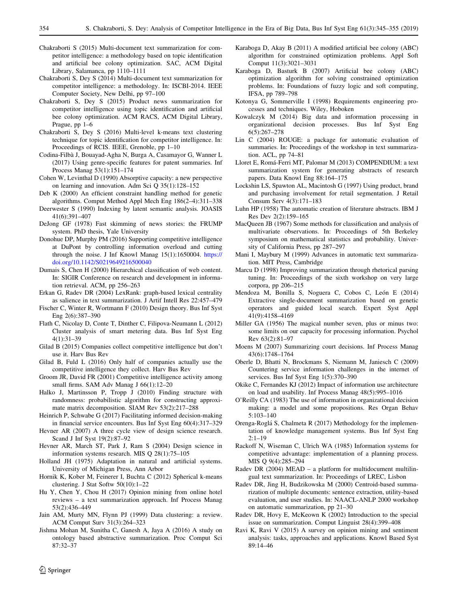- <span id="page-9-0"></span>Chakraborti S (2015) Multi-document text summarization for competitor intelligence: a methodology based on topic identification and artificial bee colony optimization. SAC, ACM Digital Library, Salamanca, pp 1110–1111
- Chakraborti S, Dey S (2014) Multi-document text summarization for competitor intelligence: a methodology. In: ISCBI-2014. IEEE Computer Society, New Delhi, pp 97–100
- Chakraborti S, Dey S (2015) Product news summarization for competitor intelligence using topic identification and artificial bee colony optimization. ACM RACS, ACM Digital Library, Prague, pp 1–6
- Chakraborti S, Dey S (2016) Multi-level k-means text clustering technique for topic identification for competitor intelligence. In: Proceedings of RCIS. IEEE, Grenoble, pp 1–10
- Codina-Filba` J, Bouayad-Agha N, Burga A, Casamayor G, Wanner L (2017) Using genre-specific features for patent summaries. Inf Process Manag 53(1):151–174
- Cohen W, Levinthal D (1990) Absorptive capacity: a new perspective on learning and innovation. Adm Sci Q 35(1):128–152
- Deb K (2000) An efficient constraint handling method for genetic algorithms. Comput Method Appl Mech Eng 186(2–4):311–338
- Deerwester S (1990) Indexing by latent semantic analysis. JOASIS 41(6):391–407
- DeJong GF (1978) Fast skimming of news stories: the FRUMP system. PhD thesis, Yale University
- Donohue DP, Murphy PM (2016) Supporting competitive intelligence at DuPont by controlling information overload and cutting through the noise. J Inf Knowl Manag 15(1):1650004. [https://](https://doi.org/10.1142/S0219649216500040) [doi.org/10.1142/S0219649216500040](https://doi.org/10.1142/S0219649216500040)
- Dumais S, Chen H (2000) Hierarchical classification of web content. In: SIGIR Conference on research and development in information retrieval. ACM, pp 256–263
- Erkan G, Radev DR (2004) LexRank: graph-based lexical centrality as salience in text summarization. J Artif Intell Res 22:457–479
- Fischer C, Winter R, Wortmann F (2010) Design theory. Bus Inf Syst Eng 2(6):387–390
- Flath C, Nicolay D, Conte T, Dinther C, Filipova-Neumann L (2012) Cluster analysis of smart metering data. Bus Inf Syst Eng 4(1):31–39
- Gilad B (2015) Companies collect competitive intelligence but don't use it. Harv Bus Rev
- Gilad B, Fuld L (2016) Only half of companies actually use the competitive intelligence they collect. Harv Bus Rev
- Groom JR, David FR (2001) Competitive intelligence activity among small firms. SAM Adv Manag J 66(1):12–20
- Halko J, Martinsson P, Tropp J (2010) Finding structure with randomness: probabilistic algorithm for constructing approximate matrix decomposition. SIAM Rev 53(2):217–288
- Heinrich P, Schwabe G (2017) Facilitating informed decision-making in financial service encounters. Bus Inf Syst Eng 60(4):317–329
- Hevner AR (2007) A three cycle view of design science research. Scand J Inf Syst 19(2):87–92
- Hevner AR, March ST, Park J, Ram S (2004) Design science in information systems research. MIS Q 28(1):75–105
- Holland JH (1975) Adaptation in natural and artificial systems. University of Michigan Press, Ann Arbor
- Hornik K, Kober M, Feinerer I, Buchta C (2012) Spherical k-means clustering. J Stat Softw 50(10):1–22
- Hu Y, Chen Y, Chou H (2017) Opinion mining from online hotel reviews – a text summarization approach. Inf Process Manag 53(2):436–449
- Jain AM, Murty MN, Flynn PJ (1999) Data clustering: a review. ACM Comput Surv 31(3):264–323
- Jishma Mohan M, Sunitha C, Ganesh A, Jaya A (2016) A study on ontology based abstractive summarization. Proc Comput Sci 87:32–37
- Karaboga D, Akay B (2011) A modified artificial bee colony (ABC) algorithm for constrained optimization problems. Appl Soft Comput 11(3):3021–3031
- Karaboga D, Basturk B (2007) Artificial bee colony (ABC) optimization algorithm for solving constrained optimization problems. In: Foundations of fuzzy logic and soft computing, IFSA, pp 789–798
- Kotonya G, Sommerville I (1998) Requirements engineering processes and techniques. Wiley, Hoboken
- Kowalczyk M (2014) Big data and information processing in organizational decision processes. Bus Inf Syst Eng 6(5):267–278
- Lin C (2004) ROUGE: a package for automatic evaluation of summaries. In: Proceedings of the workshop in text summarization. ACL, pp 74–81
- Lloret E, Roma´-Ferri MT, Palomar M (2013) COMPENDIUM: a text summarization system for generating abstracts of research papers. Data Knowl Eng 88:164–175
- Lockshin LS, Spawton AL, Macintosh G (1997) Using product, brand and purchasing involvement for retail segmentation. J Retail Consum Serv 4(3):171–183
- Luhn HP (1958) The automatic creation of literature abstracts. IBM J Res Dev 2(2):159–165
- MacQueen JB (1967) Some methods for classification and analysis of multivariate observations. In: Proceedings of 5th Berkeley symposium on mathematical statistics and probability. University of California Press, pp 287–297
- Mani I, Maybury M (1999) Advances in automatic text summarization. MIT Press, Cambridge
- Marcu D (1998) Improving summarization through rhetorical parsing tuning. In: Proceedings of the sixth workshop on very large corpora, pp 206–215
- Mendoza M, Bonilla S, Noguera C, Cobos C, León E (2014) Extractive single-document summarization based on genetic operators and guided local search. Expert Syst Appl 41(9):4158–4169
- Miller GA (1956) The magical number seven, plus or minus two: some limits on our capacity for processing information. Psychol Rev 63(2):81–97
- Moens M (2007) Summarizing court decisions. Inf Process Manag 43(6):1748–1764
- Oberle D, Bhatti N, Brockmans S, Niemann M, Janiesch C (2009) Countering service information challenges in the internet of services. Bus Inf Syst Eng 1(5):370–390
- Okike C, Fernandes KJ (2012) Impact of information use architecture on load and usability. Inf Process Manag 48(5):995–1016
- O'Reilly CA (1983) The use of information in organizational decision making: a model and some propositions. Res Organ Behav 5:103–140
- Orenga-Roglá S, Chalmeta R (2017) Methodology for the implementation of knowledge management systems. Bus Inf Syst Eng  $2:1-19$
- Rackoff N, Wiseman C, Ulrich WA (1985) Information systems for competitive advantage: implementation of a planning process. MIS Q 9(4):285–294
- Radev DR (2004) MEAD a platform for multidocument multilingual text summarization. In: Proceedings of LREC, Lisbon
- Radev DR, Jing H, Budzikowska M (2000) Centroid-based summarization of multiple documents: sentence extraction, utility-based evaluation, and user studies. In: NAACL-ANLP 2000 workshop on automatic summarization, pp 21–30
- Radev DR, Hovy E, McKeown K (2002) Introduction to the special issue on summarization. Comput Linguist 28(4):399–408
- Ravi K, Ravi V (2015) A survey on opinion mining and sentiment analysis: tasks, approaches and applications. Knowl Based Syst 89:14–46